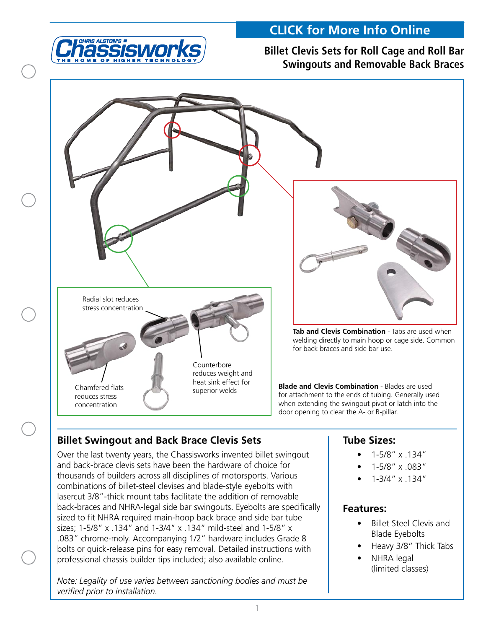

## **Billet Clevis Sets for Roll Cage and Roll Bar Swingouts and Removable Back Braces**



## **Billet Swingout and Back Brace Clevis Sets**

Over the last twenty years, the Chassisworks invented billet swingout and back-brace clevis sets have been the hardware of choice for thousands of builders across all disciplines of motorsports. Various combinations of billet-steel clevises and blade-style eyebolts with lasercut 3/8"-thick mount tabs facilitate the addition of removable back-braces and NHRA-legal side bar swingouts. Eyebolts are specifically sized to fit NHRA required main-hoop back brace and side bar tube sizes; 1-5/8" x .134" and 1-3/4" x .134" mild-steel and 1-5/8" x .083" chrome-moly. Accompanying 1/2" hardware includes Grade 8 bolts or quick-release pins for easy removal. Detailed instructions with professional chassis builder tips included; also available online.

*Note: Legality of use varies between sanctioning bodies and must be verified prior to installation.*

### **Tube Sizes:**

- • 1-5/8" x .134"
- • 1-5/8" x .083"
- • 1-3/4" x .134"

#### **Features:**

- • Billet Steel Clevis and Blade Eyebolts
- Heavy 3/8" Thick Tabs
- **NHRA** legal (limited classes)